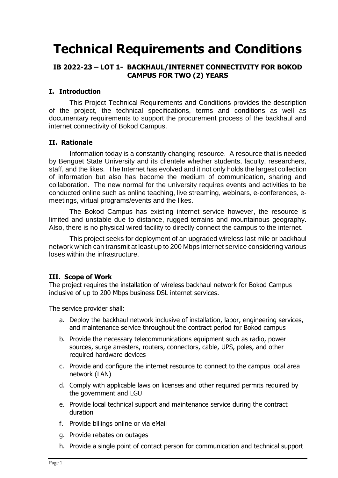# **Technical Requirements and Conditions**

## **IB 2022-23 – LOT 1- BACKHAUL/INTERNET CONNECTIVITY FOR BOKOD CAMPUS FOR TWO (2) YEARS**

## **I. Introduction**

This Project Technical Requirements and Conditions provides the description of the project, the technical specifications, terms and conditions as well as documentary requirements to support the procurement process of the backhaul and internet connectivity of Bokod Campus.

#### **II. Rationale**

Information today is a constantly changing resource. A resource that is needed by Benguet State University and its clientele whether students, faculty, researchers, staff, and the likes. The Internet has evolved and it not only holds the largest collection of information but also has become the medium of communication, sharing and collaboration. The new normal for the university requires events and activities to be conducted online such as online teaching, live streaming, webinars, e-conferences, emeetings, virtual programs/events and the likes.

The Bokod Campus has existing internet service however, the resource is limited and unstable due to distance, rugged terrains and mountainous geography. Also, there is no physical wired facility to directly connect the campus to the internet.

This project seeks for deployment of an upgraded wireless last mile or backhaul network which can transmit at least up to 200 Mbps internet service considering various loses within the infrastructure.

#### **III. Scope of Work**

The project requires the installation of wireless backhaul network for Bokod Campus inclusive of up to 200 Mbps business DSL internet services.

The service provider shall:

- a. Deploy the backhaul network inclusive of installation, labor, engineering services, and maintenance service throughout the contract period for Bokod campus
- b. Provide the necessary telecommunications equipment such as radio, power sources, surge arresters, routers, connectors, cable, UPS, poles, and other required hardware devices
- c. Provide and configure the internet resource to connect to the campus local area network (LAN)
- d. Comply with applicable laws on licenses and other required permits required by the government and LGU
- e. Provide local technical support and maintenance service during the contract duration
- f. Provide billings online or via eMail
- g. Provide rebates on outages
- h. Provide a single point of contact person for communication and technical support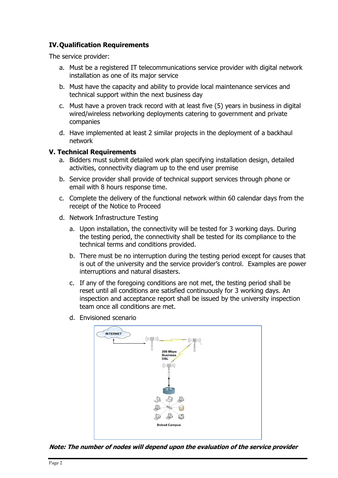## **IV.Qualification Requirements**

The service provider:

- a. Must be a registered IT telecommunications service provider with digital network installation as one of its major service
- b. Must have the capacity and ability to provide local maintenance services and technical support within the next business day
- c. Must have a proven track record with at least five (5) years in business in digital wired/wireless networking deployments catering to government and private companies
- d. Have implemented at least 2 similar projects in the deployment of a backhaul network

### **V. Technical Requirements**

- a. Bidders must submit detailed work plan specifying installation design, detailed activities, connectivity diagram up to the end user premise
- b. Service provider shall provide of technical support services through phone or email with 8 hours response time.
- c. Complete the delivery of the functional network within 60 calendar days from the receipt of the Notice to Proceed
- d. Network Infrastructure Testing
	- a. Upon installation, the connectivity will be tested for 3 working days. During the testing period, the connectivity shall be tested for its compliance to the technical terms and conditions provided.
	- b. There must be no interruption during the testing period except for causes that is out of the university and the service provider's control. Examples are power interruptions and natural disasters.
	- c. If any of the foregoing conditions are not met, the testing period shall be reset until all conditions are satisfied continuously for 3 working days. An inspection and acceptance report shall be issued by the university inspection team once all conditions are met.
	- d. Envisioned scenario



**Note: The number of nodes will depend upon the evaluation of the service provider**